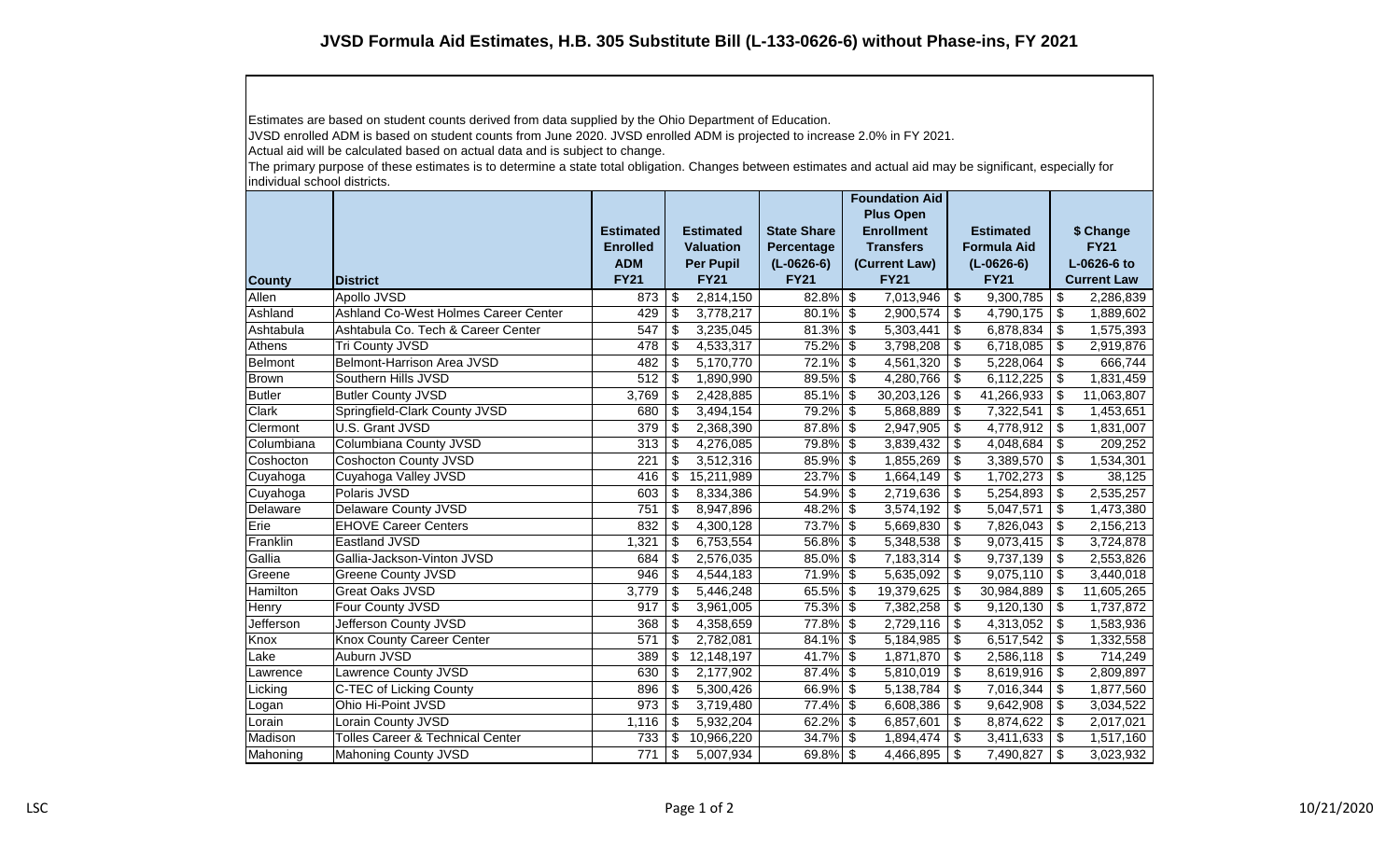Estimates are based on student counts derived from data supplied by the Ohio Department of Education.

JVSD enrolled ADM is based on student counts from June 2020. JVSD enrolled ADM is projected to increase 2.0% in FY 2021.

Actual aid will be calculated based on actual data and is subject to change.

The primary purpose of these estimates is to determine a state total obligation. Changes between estimates and actual aid may be significant, especially for individual school districts.

| <b>County</b>  | <b>District</b>                             | <b>Estimated</b><br><b>Enrolled</b><br><b>ADM</b><br><b>FY21</b> |                           | <b>Estimated</b><br><b>Valuation</b><br><b>Per Pupil</b><br><b>FY21</b> | <b>State Share</b><br>Percentage<br>$(L-0626-6)$<br><b>FY21</b> |                          | <b>Foundation Aid</b><br><b>Plus Open</b><br><b>Enrollment</b><br><b>Transfers</b><br>(Current Law)<br><b>FY21</b> | <b>Estimated</b><br><b>Formula Aid</b><br>$(L-0626-6)$<br><b>FY21</b> |            | \$ Change<br><b>FY21</b><br>L-0626-6 to<br><b>Current Law</b> |            |
|----------------|---------------------------------------------|------------------------------------------------------------------|---------------------------|-------------------------------------------------------------------------|-----------------------------------------------------------------|--------------------------|--------------------------------------------------------------------------------------------------------------------|-----------------------------------------------------------------------|------------|---------------------------------------------------------------|------------|
| Allen          | Apollo JVSD                                 | 873                                                              | \$                        | 2,814,150                                                               | 82.8%                                                           | \$                       | 7,013,946                                                                                                          | \$                                                                    | 9,300,785  | \$                                                            | 2,286,839  |
| Ashland        | Ashland Co-West Holmes Career Center        | 429                                                              | -\$                       | 3,778,217                                                               | 80.1%                                                           | \$                       | 2,900,574                                                                                                          | \$                                                                    | 4,790,175  | \$                                                            | 1,889,602  |
| Ashtabula      | Ashtabula Co. Tech & Career Center          | 547                                                              | \$                        | 3,235,045                                                               | 81.3%                                                           | \$                       | 5,303,441                                                                                                          | \$                                                                    | 6,878,834  | \$                                                            | 1,575,393  |
| Athens         | Tri County JVSD                             | 478                                                              | \$                        | 4,533,317                                                               | 75.2%                                                           | $\sqrt[6]{\frac{1}{2}}$  | $3,798,208$ \$                                                                                                     |                                                                       | 6,718,085  | \$                                                            | 2,919,876  |
| <b>Belmont</b> | Belmont-Harrison Area JVSD                  | 482                                                              | \$                        | 5,170,770                                                               | 72.1%                                                           | $\sqrt[6]{\frac{1}{2}}$  | 4,561,320                                                                                                          | \$                                                                    | 5,228,064  | \$                                                            | 666,744    |
| <b>Brown</b>   | Southern Hills JVSD                         | 512                                                              | -\$                       | 1,890,990                                                               | 89.5%                                                           | $\sqrt[6]{\frac{1}{2}}$  | 4,280,766                                                                                                          | \$                                                                    | 6,112,225  | \$                                                            | 1,831,459  |
| <b>Butler</b>  | <b>Butler County JVSD</b>                   | 3,769                                                            | \$                        | 2,428,885                                                               | 85.1%                                                           | \$                       | 30,203,126                                                                                                         | \$                                                                    | 41,266,933 | \$                                                            | 11,063,807 |
| Clark          | Springfield-Clark County JVSD               | 680                                                              | \$                        | 3,494,154                                                               | 79.2%                                                           | $\sqrt[6]{\frac{1}{2}}$  | 5,868,889                                                                                                          | \$                                                                    | 7,322,541  | \$                                                            | 1,453,651  |
| Clermont       | U.S. Grant JVSD                             | 379                                                              | -\$                       | 2,368,390                                                               | 87.8%                                                           | $\sqrt[6]{\frac{1}{2}}$  | 2,947,905                                                                                                          | \$                                                                    | 4,778,912  | \$                                                            | 1,831,007  |
| Columbiana     | Columbiana County JVSD                      | 313                                                              | \$                        | 4,276,085                                                               | 79.8%                                                           | \$                       | $3,839,432$ \$                                                                                                     |                                                                       | 4,048,684  | \$                                                            | 209,252    |
| Coshocton      | <b>Coshocton County JVSD</b>                | 221                                                              | \$                        | 3,512,316                                                               | 85.9%                                                           | \$                       | 1,855,269                                                                                                          | \$                                                                    | 3,389,570  | \$                                                            | 1,534,301  |
| Cuyahoga       | Cuyahoga Valley JVSD                        | 416                                                              | \$                        | 15,211,989                                                              | 23.7%                                                           | $\sqrt[6]{\frac{1}{2}}$  | $1,664,149$ \$                                                                                                     |                                                                       | 1,702,273  | \$                                                            | 38,125     |
| Cuyahoga       | Polaris JVSD                                | 603                                                              | \$                        | 8,334,386                                                               | 54.9%                                                           | \$                       | 2,719,636                                                                                                          | \$                                                                    | 5,254,893  | \$                                                            | 2,535,257  |
| Delaware       | Delaware County JVSD                        | 751                                                              | \$                        | 8,947,896                                                               | 48.2%                                                           | \$                       | 3,574,192                                                                                                          | \$                                                                    | 5,047,571  | \$                                                            | 1,473,380  |
| Erie           | <b>EHOVE Career Centers</b>                 | 832                                                              | \$                        | 4,300,128                                                               | 73.7%                                                           | \$                       | 5,669,830                                                                                                          | \$                                                                    | 7,826,043  | \$                                                            | 2,156,213  |
| Franklin       | Eastland JVSD                               | 1,321                                                            | $\boldsymbol{\mathsf{S}}$ | 6,753,554                                                               | 56.8%                                                           | $\sqrt[6]{\frac{1}{2}}$  | 5,348,538                                                                                                          | \$                                                                    | 9,073,415  | \$                                                            | 3,724,878  |
| Gallia         | Gallia-Jackson-Vinton JVSD                  | 684                                                              | \$                        | 2,576,035                                                               | 85.0%                                                           | \$                       | 7,183,314                                                                                                          | \$                                                                    | 9,737,139  | \$                                                            | 2,553,826  |
| Greene         | Greene County JVSD                          | 946                                                              | \$                        | 4,544,183                                                               | 71.9%                                                           | \$                       | 5,635,092                                                                                                          | \$                                                                    | 9,075,110  | \$                                                            | 3,440,018  |
| Hamilton       | <b>Great Oaks JVSD</b>                      | 3,779                                                            | $\boldsymbol{\mathsf{S}}$ | 5,446,248                                                               | 65.5%                                                           | $\sqrt[3]{5}$            | $19,379,625$ \$                                                                                                    |                                                                       | 30,984,889 | \$                                                            | 11,605,265 |
| Henry          | Four County JVSD                            | 917                                                              | \$                        | 3,961,005                                                               | 75.3%                                                           | $\sqrt[6]{3}$            | $7,382,258$ \ \ \$                                                                                                 |                                                                       | 9,120,130  | \$                                                            | 1,737,872  |
| Jefferson      | Jefferson County JVSD                       | 368                                                              | \$                        | 4,358,659                                                               | 77.8%                                                           | $\sqrt[6]{3}$            | $2,729,116$ \$                                                                                                     |                                                                       | 4,313,052  | \$                                                            | 1,583,936  |
| Knox           | <b>Knox County Career Center</b>            | 571                                                              | \$                        | 2,782,081                                                               | 84.1%                                                           | $\overline{\mathcal{S}}$ | 5,184,985                                                                                                          | \$                                                                    | 6,517,542  | \$                                                            | 1,332,558  |
| Lake           | Auburn JVSD                                 | 389                                                              | \$                        | 12,148,197                                                              | 41.7%                                                           | \$                       | 1,871,870                                                                                                          | \$                                                                    | 2,586,118  | \$                                                            | 714,249    |
| Lawrence       | Lawrence County JVSD                        | 630                                                              | \$                        | 2,177,902                                                               | 87.4%                                                           | $\sqrt[6]{3}$            | 5,810,019                                                                                                          | \$                                                                    | 8,619,916  | \$                                                            | 2,809,897  |
| Licking        | C-TEC of Licking County                     | 896                                                              | \$                        | 5,300,426                                                               | 66.9%                                                           | $\overline{\$}$          | 5,138,784                                                                                                          | \$                                                                    | 7,016,344  | \$                                                            | 1,877,560  |
| Logan          | Ohio Hi-Point JVSD                          | 973                                                              | \$                        | 3,719,480                                                               | 77.4%                                                           | \$                       | 6,608,386                                                                                                          | \$                                                                    | 9,642,908  | \$                                                            | 3,034,522  |
| Lorain         | Lorain County JVSD                          | 1,116                                                            | \$                        | 5,932,204                                                               | 62.2%                                                           | \$                       | 6,857,601                                                                                                          | \$                                                                    | 8,874,622  | \$                                                            | 2,017,021  |
| Madison        | <b>Tolles Career &amp; Technical Center</b> | 733                                                              | \$                        | 10,966,220                                                              | 34.7%                                                           | $\sqrt[6]{3}$            | 1,894,474                                                                                                          | \$                                                                    | 3,411,633  | \$                                                            | 1,517,160  |
| Mahoning       | Mahoning County JVSD                        | 771                                                              | \$                        | 5,007,934                                                               | $69.8\%$ \$                                                     |                          | 4,466,895                                                                                                          | \$                                                                    | 7,490,827  | \$                                                            | 3,023,932  |